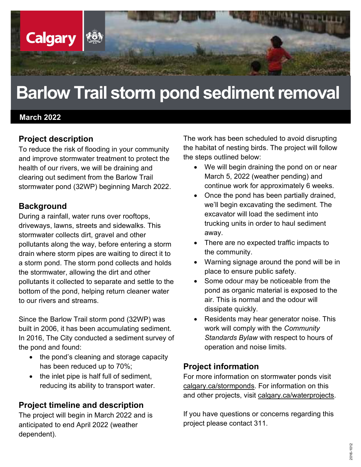

# Barlow Trail storm pond sediment removal

#### March 2022

#### Project description

To reduce the risk of flooding in your community and improve stormwater treatment to protect the health of our rivers, we will be draining and clearing out sediment from the Barlow Trail stormwater pond (32WP) beginning March 2022.

#### **Background**

During a rainfall, water runs over rooftops, driveways, lawns, streets and sidewalks. This stormwater collects dirt, gravel and other pollutants along the way, before entering a storm drain where storm pipes are waiting to direct it to a storm pond. The storm pond collects and holds the stormwater, allowing the dirt and other pollutants it collected to separate and settle to the bottom of the pond, helping return cleaner water to our rivers and streams.

Since the Barlow Trail storm pond (32WP) was built in 2006, it has been accumulating sediment. In 2016, The City conducted a sediment survey of the pond and found:

- the pond's cleaning and storage capacity has been reduced up to 70%;
- $\bullet$  the inlet pipe is half full of sediment, reducing its ability to transport water.

### Project timeline and description

The project will begin in March 2022 and is anticipated to end April 2022 (weather dependent).

The work has been scheduled to avoid disrupting the habitat of nesting birds. The project will follow the steps outlined below:

- We will begin draining the pond on or near March 5, 2022 (weather pending) and continue work for approximately 6 weeks.
- Once the pond has been partially drained, we'll begin excavating the sediment. The excavator will load the sediment into trucking units in order to haul sediment away.
- There are no expected traffic impacts to the community.
- Warning signage around the pond will be in place to ensure public safety.
- Some odour may be noticeable from the pond as organic material is exposed to the air. This is normal and the odour will dissipate quickly.
- Residents may hear generator noise. This work will comply with the Community Standards Bylaw with respect to hours of operation and noise limits.

#### Project information

For more information on stormwater ponds visit calgary.ca/stormponds. For information on this and other projects, visit calgary.ca/waterprojects.

If you have questions or concerns regarding this project please contact 311.